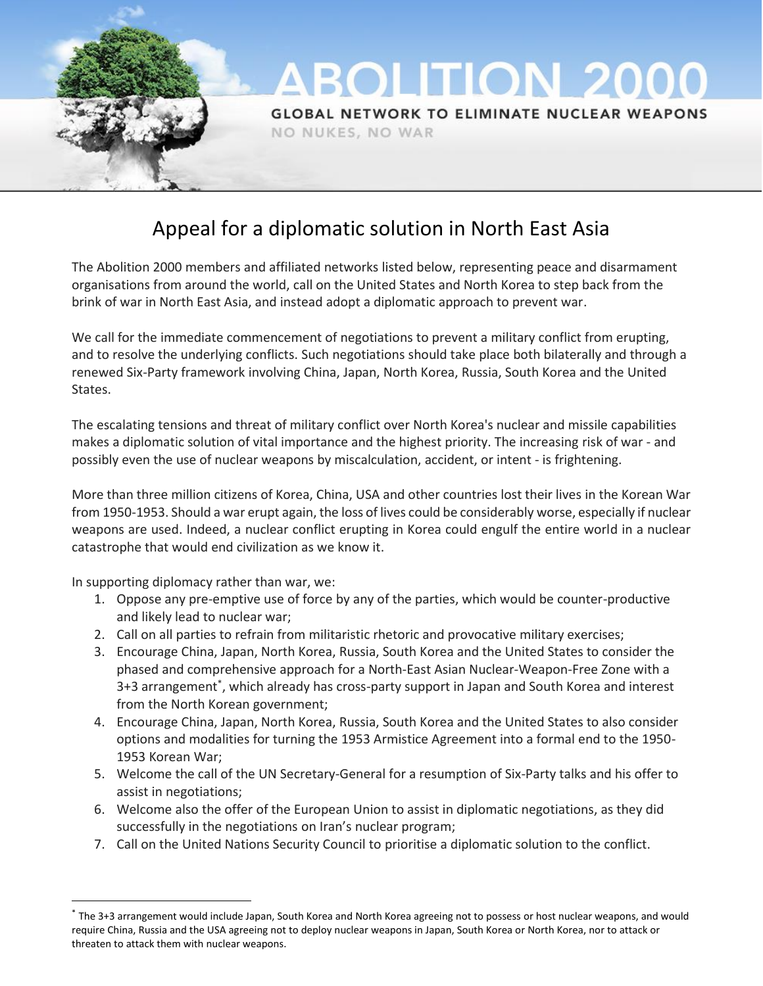

# Appeal for a diplomatic solution in North East Asia

The Abolition 2000 members and affiliated networks listed below, representing peace and disarmament organisations from around the world, call on the United States and North Korea to step back from the brink of war in North East Asia, and instead adopt a diplomatic approach to prevent war.

We call for the immediate commencement of negotiations to prevent a military conflict from erupting, and to resolve the underlying conflicts. Such negotiations should take place both bilaterally and through a renewed Six-Party framework involving China, Japan, North Korea, Russia, South Korea and the United States.

The escalating tensions and threat of military conflict over North Korea's nuclear and missile capabilities makes a diplomatic solution of vital importance and the highest priority. The increasing risk of war - and possibly even the use of nuclear weapons by miscalculation, accident, or intent - is frightening.

More than three million citizens of Korea, China, USA and other countries lost their lives in the Korean War from 1950-1953. Should a war erupt again, the loss of lives could be considerably worse, especially if nuclear weapons are used. Indeed, a nuclear conflict erupting in Korea could engulf the entire world in a nuclear catastrophe that would end civilization as we know it.

In supporting diplomacy rather than war, we:

 $\overline{a}$ 

- 1. Oppose any pre-emptive use of force by any of the parties, which would be counter-productive and likely lead to nuclear war;
- 2. Call on all parties to refrain from militaristic rhetoric and provocative military exercises;
- 3. Encourage China, Japan, North Korea, Russia, South Korea and the United States to consider the phased and comprehensive approach for a North-East Asian Nuclear-Weapon-Free Zone with a 3+3 arrangement<sup>\*</sup>, which already has cross-party support in Japan and South Korea and interest from the North Korean government;
- 4. Encourage China, Japan, North Korea, Russia, South Korea and the United States to also consider options and modalities for turning the 1953 Armistice Agreement into a formal end to the 1950- 1953 Korean War;
- 5. Welcome the call of the UN Secretary-General for a resumption of Six-Party talks and his offer to assist in negotiations;
- 6. Welcome also the offer of the European Union to assist in diplomatic negotiations, as they did successfully in the negotiations on Iran's nuclear program;
- 7. Call on the United Nations Security Council to prioritise a diplomatic solution to the conflict.

<sup>\*</sup> The 3+3 arrangement would include Japan, South Korea and North Korea agreeing not to possess or host nuclear weapons, and would require China, Russia and the USA agreeing not to deploy nuclear weapons in Japan, South Korea or North Korea, nor to attack or threaten to attack them with nuclear weapons.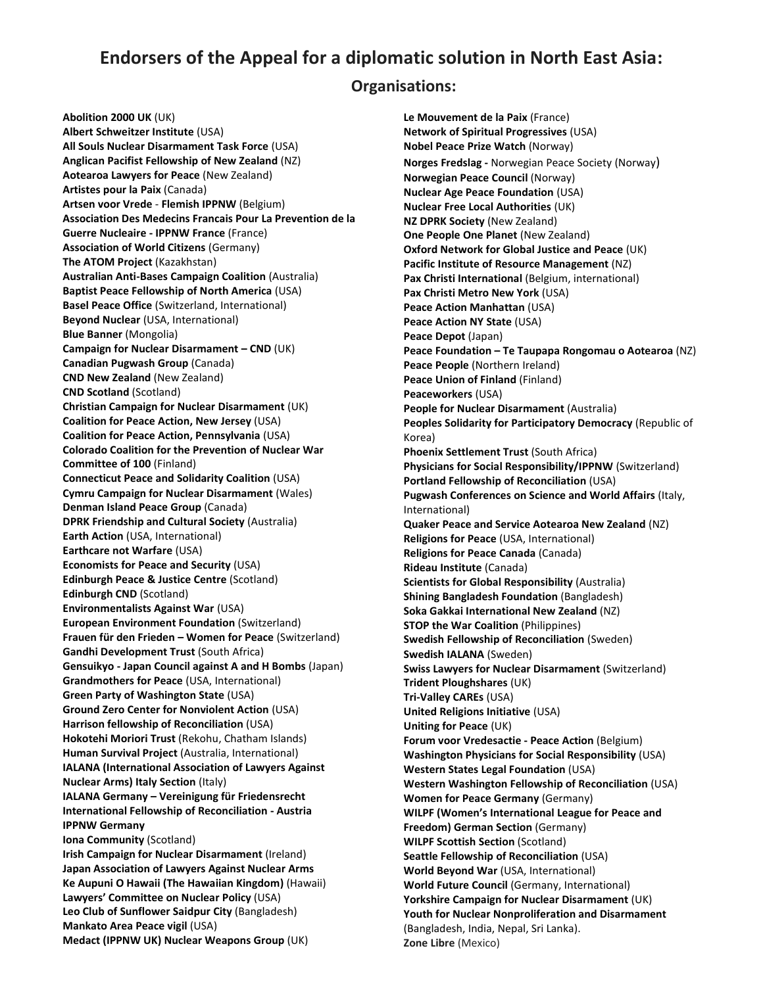## **Endorsers of the Appeal for a diplomatic solution in North East Asia:**

#### **Organisations:**

**Abolition 2000 UK** (UK) **Albert Schweitzer Institute** (USA) **All Souls Nuclear Disarmament Task Force** (USA) **Anglican Pacifist Fellowship of New Zealand** (NZ) **Aotearoa Lawyers for Peace** (New Zealand) **Artistes pour la Paix** (Canada) **Artsen voor Vrede** - **Flemish IPPNW** (Belgium) **Association Des Medecins Francais Pour La Prevention de la Guerre Nucleaire - IPPNW France** (France) **Association of World Citizens** (Germany) **The ATOM Project** (Kazakhstan) **Australian Anti-Bases Campaign Coalition** (Australia) **Baptist Peace Fellowship of North America** (USA) **Basel Peace Office** (Switzerland, International) **Beyond Nuclear** (USA, International) **Blue Banner** (Mongolia) **Campaign for Nuclear Disarmament – CND** (UK) **Canadian Pugwash Group** (Canada) **CND New Zealand** (New Zealand) **CND Scotland** (Scotland) **Christian Campaign for Nuclear Disarmament** (UK) **Coalition for Peace Action, New Jersey** (USA) **Coalition for Peace Action, Pennsylvania** (USA) **Colorado Coalition for the Prevention of Nuclear War Committee of 100** (Finland) **Connecticut Peace and Solidarity Coalition** (USA) **Cymru Campaign for Nuclear Disarmament** (Wales) **Denman Island Peace Group** (Canada) **DPRK Friendship and Cultural Society** (Australia) **Earth Action** (USA, International) **Earthcare not Warfare** (USA) **Economists for Peace and Security** (USA) **Edinburgh Peace & Justice Centre** (Scotland) **Edinburgh CND** (Scotland) **Environmentalists Against War** (USA) **European Environment Foundation** (Switzerland) **Frauen für den Frieden – Women for Peace** (Switzerland) **Gandhi Development Trust** (South Africa) **Gensuikyo - Japan Council against A and H Bombs** (Japan) **Grandmothers for Peace** (USA, International) **Green Party of Washington State** (USA) **Ground Zero Center for Nonviolent Action** (USA) **Harrison fellowship of Reconciliation** (USA) **Hokotehi Moriori Trust** (Rekohu, Chatham Islands) **Human Survival Project** (Australia, International) **IALANA (International Association of Lawyers Against Nuclear Arms) Italy Section** (Italy) **IALANA Germany – Vereinigung für Friedensrecht International Fellowship of Reconciliation - Austria IPPNW Germany Iona Community** (Scotland) **Irish Campaign for Nuclear Disarmament** (Ireland) **Japan Association of Lawyers Against Nuclear Arms Ke Aupuni O Hawaii (The Hawaiian Kingdom)** (Hawaii) **Lawyers' Committee on Nuclear Policy** (USA) **Leo Club of Sunflower Saidpur City** (Bangladesh) **Mankato Area Peace vigil** (USA) **Medact (IPPNW UK) Nuclear Weapons Group** (UK)

**Le Mouvement de la Paix** (France) **Network of Spiritual Progressives** (USA) **Nobel Peace Prize Watch** (Norway) **Norges Fredslag -** Norwegian Peace Society (Norway) **Norwegian Peace Council** (Norway) **Nuclear Age Peace Foundation** (USA) **Nuclear Free Local Authorities** (UK) **NZ DPRK Society** (New Zealand) **One People One Planet** (New Zealand) **Oxford Network for Global Justice and Peace** (UK) **Pacific Institute of Resource Management** (NZ) Pax Christi International (Belgium, international) **Pax Christi Metro New York** (USA) **Peace Action Manhattan** (USA) **Peace Action NY State** (USA) **Peace Depot** (Japan) **Peace Foundation – Te Taupapa Rongomau o Aotearoa** (NZ) **Peace People** (Northern Ireland) **Peace Union of Finland** (Finland) **Peaceworkers** (USA) **People for Nuclear Disarmament** (Australia) **Peoples Solidarity for Participatory Democracy** (Republic of Korea) **Phoenix Settlement Trust** (South Africa) **Physicians for Social Responsibility/IPPNW** (Switzerland) **Portland Fellowship of Reconciliation** (USA) **Pugwash Conferences on Science and World Affairs** (Italy, International) **Quaker Peace and Service Aotearoa New Zealand** (NZ) **Religions for Peace** (USA, International) **Religions for Peace Canada** (Canada) **Rideau Institute** (Canada) **Scientists for Global Responsibility** (Australia) **Shining Bangladesh Foundation** (Bangladesh) **Soka Gakkai International New Zealand** (NZ) **STOP the War Coalition** (Philippines) **Swedish Fellowship of Reconciliation** (Sweden) **Swedish IALANA** (Sweden) **Swiss Lawyers for Nuclear Disarmament** (Switzerland) **Trident Ploughshares** (UK) **Tri-Valley CAREs** (USA) **United Religions Initiative** (USA) **Uniting for Peace** (UK) **Forum voor Vredesactie - Peace Action** (Belgium) **Washington Physicians for Social Responsibility** (USA) **Western States Legal Foundation** (USA) **Western Washington Fellowship of Reconciliation** (USA) **Women for Peace Germany** (Germany) **WILPF (Women's International League for Peace and Freedom) German Section** (Germany) **WILPF Scottish Section** (Scotland) **Seattle Fellowship of Reconciliation** (USA) **World Beyond War** (USA, International) **World Future Council** (Germany, International) **Yorkshire Campaign for Nuclear Disarmament** (UK) **Youth for Nuclear Nonproliferation and Disarmament**  (Bangladesh, India, Nepal, Sri Lanka). **Zone Libre** (Mexico)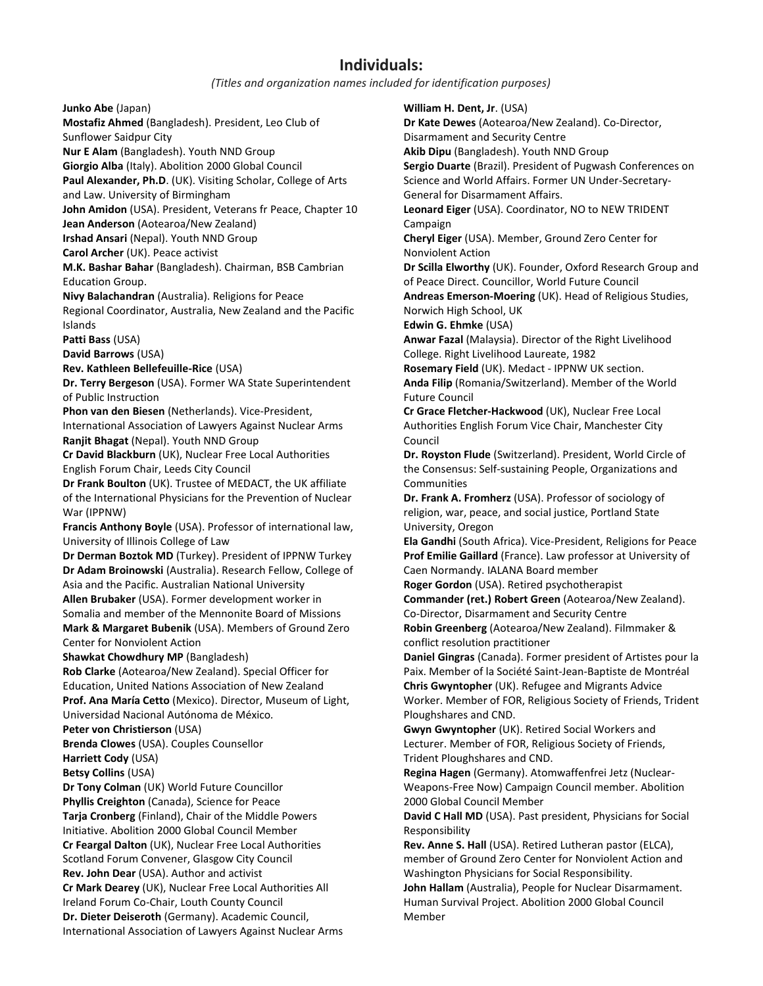### **Individuals:**

#### *(Titles and organization names included for identification purposes)*

**Junko Abe** (Japan)

**Mostafiz Ahmed** (Bangladesh). President, Leo Club of Sunflower Saidpur City **Nur E Alam** (Bangladesh). Youth NND Group **Giorgio Alba** (Italy). Abolition 2000 Global Council **Paul Alexander, Ph.D**. (UK). Visiting Scholar, College of Arts and Law. University of Birmingham **John Amidon** (USA). President, Veterans fr Peace, Chapter 10 **Jean Anderson** (Aotearoa/New Zealand) **Irshad Ansari** (Nepal). Youth NND Group **Carol Archer** (UK). Peace activist **M.K. Bashar Bahar** (Bangladesh). Chairman, BSB Cambrian Education Group. **Nivy Balachandran** (Australia). Religions for Peace Regional Coordinator, Australia, New Zealand and the Pacific Islands **Patti Bass** (USA) **David Barrows** (USA) **Rev. Kathleen Bellefeuille-Rice** (USA) **Dr. Terry Bergeson** (USA). Former WA State Superintendent of Public Instruction **Phon van den Biesen** (Netherlands). Vice-President, International Association of Lawyers Against Nuclear Arms **Ranjit Bhagat** (Nepal). Youth NND Group **Cr David Blackburn** (UK), Nuclear Free Local Authorities English Forum Chair, Leeds City Council **Dr Frank Boulton** (UK). Trustee of MEDACT, the UK affiliate of the International Physicians for the Prevention of Nuclear War (IPPNW) **Francis Anthony Boyle** (USA). Professor of international law, University of Illinois College of Law **Dr Derman Boztok MD** (Turkey). President of IPPNW Turkey **Dr Adam Broinowski** (Australia). Research Fellow, College of Asia and the Pacific. Australian National University **Allen Brubaker** (USA). Former development worker in Somalia and member of the Mennonite Board of Missions **Mark & Margaret Bubenik** (USA). Members of Ground Zero Center for Nonviolent Action **Shawkat Chowdhury MP** (Bangladesh) **Rob Clarke** (Aotearoa/New Zealand). Special Officer for Education, United Nations Association of New Zealand **Prof. Ana María Cetto** (Mexico). Director, Museum of Light, Universidad Nacional Autónoma de México*.* **Peter von Christierson** (USA) **Brenda Clowes** (USA). Couples Counsellor **Harriett Cody** (USA) **Betsy Collins** (USA) **Dr Tony Colman** (UK) World Future Councillor **Phyllis Creighton** (Canada), Science for Peace **Tarja Cronberg** (Finland), Chair of the Middle Powers Initiative. Abolition 2000 Global Council Member **Cr Feargal Dalton** (UK), Nuclear Free Local Authorities Scotland Forum Convener, Glasgow City Council **Rev. John Dear** (USA). Author and activist **Cr Mark Dearey** (UK), Nuclear Free Local Authorities All Ireland Forum Co-Chair, Louth County Council

**Dr. Dieter Deiseroth** (Germany). Academic Council, International Association of Lawyers Against Nuclear Arms **William H. Dent, Jr**. (USA)

**Dr Kate Dewes** (Aotearoa/New Zealand). Co-Director, Disarmament and Security Centre **Akib Dipu** (Bangladesh). Youth NND Group **Sergio Duarte** (Brazil). President of Pugwash Conferences on Science and World Affairs. Former UN Under-Secretary-

General for Disarmament Affairs.

**Leonard Eiger** (USA). Coordinator, NO to NEW TRIDENT **Campaign** 

**Cheryl Eiger** (USA). Member, Ground Zero Center for Nonviolent Action

**Dr Scilla Elworthy** (UK). Founder, Oxford Research Group and of Peace Direct. Councillor, World Future Council

**Andreas Emerson-Moering** (UK). Head of Religious Studies, Norwich High School, UK

**Edwin G. Ehmke** (USA)

**Anwar Fazal** (Malaysia). Director of the Right Livelihood College. Right Livelihood Laureate, 1982

**Rosemary Field** (UK). Medact - IPPNW UK section.

**Anda Filip** (Romania/Switzerland). Member of the World Future Council

**Cr Grace Fletcher-Hackwood** (UK), Nuclear Free Local Authorities English Forum Vice Chair, Manchester City Council

**Dr. Royston Flude** (Switzerland). President, World Circle of the Consensus: Self-sustaining People, Organizations and **Communities** 

**Dr. Frank A. Fromherz** (USA). Professor of sociology of religion, war, peace, and social justice, Portland State University, Oregon

**Ela Gandhi** (South Africa). Vice-President, Religions for Peace **Prof Emilie Gaillard** (France). Law professor at University of Caen Normandy. IALANA Board member

**Roger Gordon** (USA). Retired psychotherapist

**Commander (ret.) Robert Green** (Aotearoa/New Zealand). Co-Director, Disarmament and Security Centre

**Robin Greenberg** (Aotearoa/New Zealand). Filmmaker & conflict resolution practitioner

**Daniel Gingras** (Canada). Former president of Artistes pour la Paix. Member of la Société Saint-Jean-Baptiste de Montréal **Chris Gwyntopher** (UK). Refugee and Migrants Advice Worker. Member of FOR, Religious Society of Friends, Trident Ploughshares and CND.

**Gwyn Gwyntopher** (UK). Retired Social Workers and Lecturer. Member of FOR, Religious Society of Friends, Trident Ploughshares and CND.

**Regina Hagen** (Germany). Atomwaffenfrei Jetz (Nuclear-Weapons-Free Now) Campaign Council member. Abolition 2000 Global Council Member

**David C Hall MD** (USA). Past president, Physicians for Social Responsibility

**Rev. Anne S. Hall** (USA). Retired Lutheran pastor (ELCA), member of Ground Zero Center for Nonviolent Action and Washington Physicians for Social Responsibility.

**John Hallam** (Australia), People for Nuclear Disarmament. Human Survival Project. Abolition 2000 Global Council Member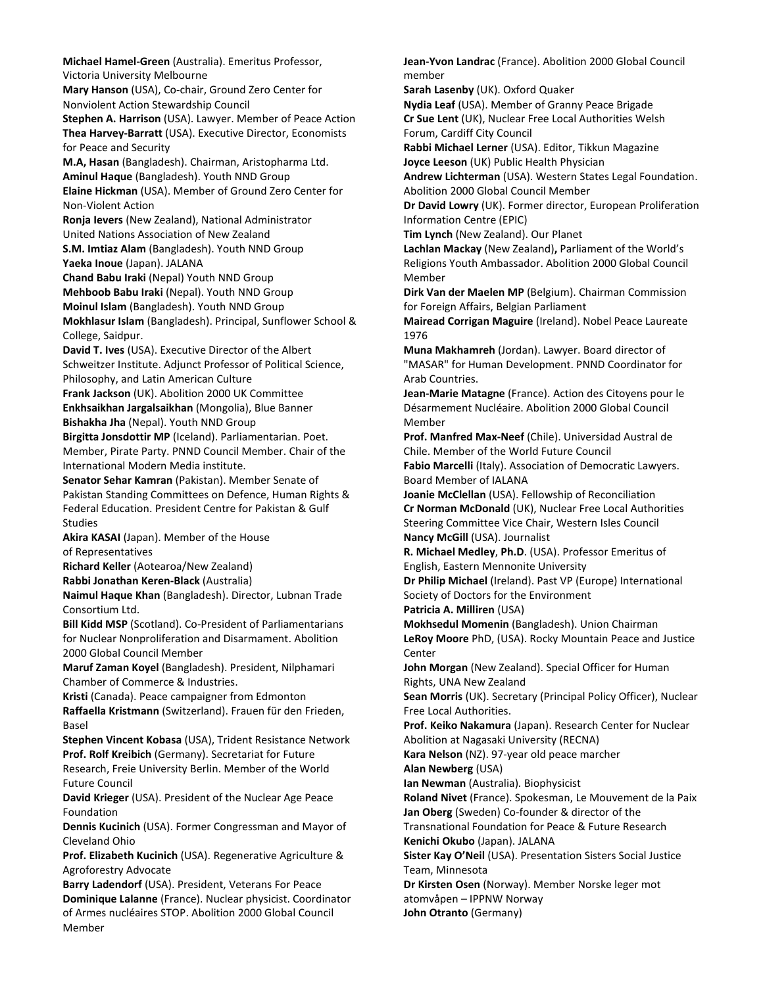**Michael Hamel-Green** (Australia). Emeritus Professor, Victoria University Melbourne **Mary Hanson** (USA), Co-chair, Ground Zero Center for Nonviolent Action Stewardship Council **Stephen A. Harrison** (USA). Lawyer. Member of Peace Action **Thea Harvey-Barratt** (USA). Executive Director, Economists for Peace and Security **M.A, Hasan** (Bangladesh). Chairman, Aristopharma Ltd. **Aminul Haque** (Bangladesh). Youth NND Group **Elaine Hickman** (USA). Member of Ground Zero Center for Non-Violent Action **Ronja Ievers** (New Zealand), National Administrator United Nations Association of New Zealand **S.M. Imtiaz Alam** (Bangladesh). Youth NND Group **Yaeka Inoue** (Japan). JALANA **Chand Babu Iraki** (Nepal) Youth NND Group **Mehboob Babu Iraki** (Nepal). Youth NND Group **Moinul Islam** (Bangladesh). Youth NND Group **Mokhlasur Islam** (Bangladesh). Principal, Sunflower School & College, Saidpur. **David T. Ives** (USA). Executive Director of the Albert Schweitzer Institute. Adjunct Professor of Political Science, Philosophy, and Latin American Culture **Frank Jackson** (UK). Abolition 2000 UK Committee **Enkhsaikhan Jargalsaikhan** (Mongolia), Blue Banner **Bishakha Jha** (Nepal). Youth NND Group **Birgitta Jonsdottir MP** (Iceland). Parliamentarian. Poet. Member, Pirate Party. PNND Council Member. Chair of the International Modern Media institute. **Senator Sehar Kamran** (Pakistan). Member Senate of Pakistan Standing Committees on Defence, Human Rights & Federal Education. President Centre for Pakistan & Gulf Studies **Akira KASAI** (Japan). Member of the House of Representatives **Richard Keller** (Aotearoa/New Zealand) **Rabbi Jonathan Keren-Black** (Australia) **Naimul Haque Khan** (Bangladesh). Director, Lubnan Trade Consortium Ltd. **Bill Kidd MSP** (Scotland). Co-President of Parliamentarians for Nuclear Nonproliferation and Disarmament. Abolition 2000 Global Council Member **Maruf Zaman Koyel** (Bangladesh). President, Nilphamari Chamber of Commerce & Industries. **Kristi** (Canada). Peace campaigner from Edmonton **Raffaella Kristmann** (Switzerland). Frauen für den Frieden, Basel **Stephen Vincent Kobasa** (USA), Trident Resistance Network **Prof. Rolf Kreibich** (Germany). Secretariat for Future Research, Freie University Berlin. Member of the World Future Council **David Krieger** (USA). President of the Nuclear Age Peace Foundation **Dennis Kucinich** (USA). Former Congressman and Mayor of Cleveland Ohio **Prof. Elizabeth Kucinich** (USA). Regenerative Agriculture & Agroforestry Advocate **Barry Ladendorf** (USA). President, Veterans For Peace **Dominique Lalanne** (France). Nuclear physicist. Coordinator of Armes nucléaires STOP. Abolition 2000 Global Council Member

**Jean-Yvon Landrac** (France). Abolition 2000 Global Council member

**Sarah Lasenby** (UK). Oxford Quaker

**Nydia Leaf** (USA). Member of Granny Peace Brigade **Cr Sue Lent** (UK), Nuclear Free Local Authorities Welsh Forum, Cardiff City Council

**Rabbi Michael Lerner** (USA). Editor, Tikkun Magazine **Joyce Leeson** (UK) Public Health Physician

**Andrew Lichterman** (USA). Western States Legal Foundation. Abolition 2000 Global Council Member

**Dr David Lowry** (UK). Former director, European Proliferation Information Centre (EPIC)

**Tim Lynch** (New Zealand). Our Planet

**Lachlan Mackay** (New Zealand)**,** Parliament of the World's Religions Youth Ambassador. Abolition 2000 Global Council Member

**Dirk Van der Maelen MP** (Belgium). Chairman Commission for Foreign Affairs, Belgian Parliament

**Mairead Corrigan Maguire** (Ireland). Nobel Peace Laureate 1976

**Muna Makhamreh** (Jordan). Lawyer. Board director of "MASAR" for Human Development. PNND Coordinator for Arab Countries.

**Jean-Marie Matagne** (France). [Action des Citoyens pour le](http://www.acdn.net/)  [Désarmement Nucléaire.](http://www.acdn.net/) Abolition 2000 Global Council Membe[r](http://www.acdn.net/)

**Prof. Manfred Max-Neef** (Chile). Universidad Austral de Chile. Member of the World Future Council

**Fabio Marcelli** (Italy). Association of Democratic Lawyers. Board Member of IALANA

**Joanie McClellan** (USA). Fellowship of Reconciliation **Cr Norman McDonald** (UK), Nuclear Free Local Authorities Steering Committee Vice Chair, Western Isles Council **Nancy McGill** (USA). Journalist

**R. Michael Medley**, **Ph.D**. (USA). Professor Emeritus of English, Eastern Mennonite University

**Dr Philip Michael** (Ireland). Past VP (Europe) International Society of Doctors for the Environment

**Patricia A. Milliren** (USA)

**Mokhsedul Momenin** (Bangladesh). Union Chairman **LeRoy Moore** PhD, (USA). Rocky Mountain Peace and Justice Center

**John Morgan** (New Zealand). Special Officer for Human Rights, UNA New Zealand

**Sean Morris** (UK). Secretary (Principal Policy Officer), Nuclear Free Local Authorities.

**Prof. Keiko Nakamura** (Japan). Research Center for Nuclear Abolition at Nagasaki University (RECNA)

**Kara Nelson** (NZ). 97-year old peace marcher **Alan Newberg** (USA)

**Ian Newman** (Australia)*.* Biophysicist

**Roland Nivet** (France). Spokesman, Le Mouvement de la Paix **Jan Oberg** (Sweden) Co-founder & director of the

Transnational Foundation for Peace & Future Research **Kenichi Okubo** (Japan). JALANA

**Sister Kay O'Neil** (USA). Presentation Sisters Social Justice Team, Minnesota

**Dr Kirsten Osen** (Norway). Member Norske leger mot atomvåpen – IPPNW Norway

**John Otranto** (Germany)